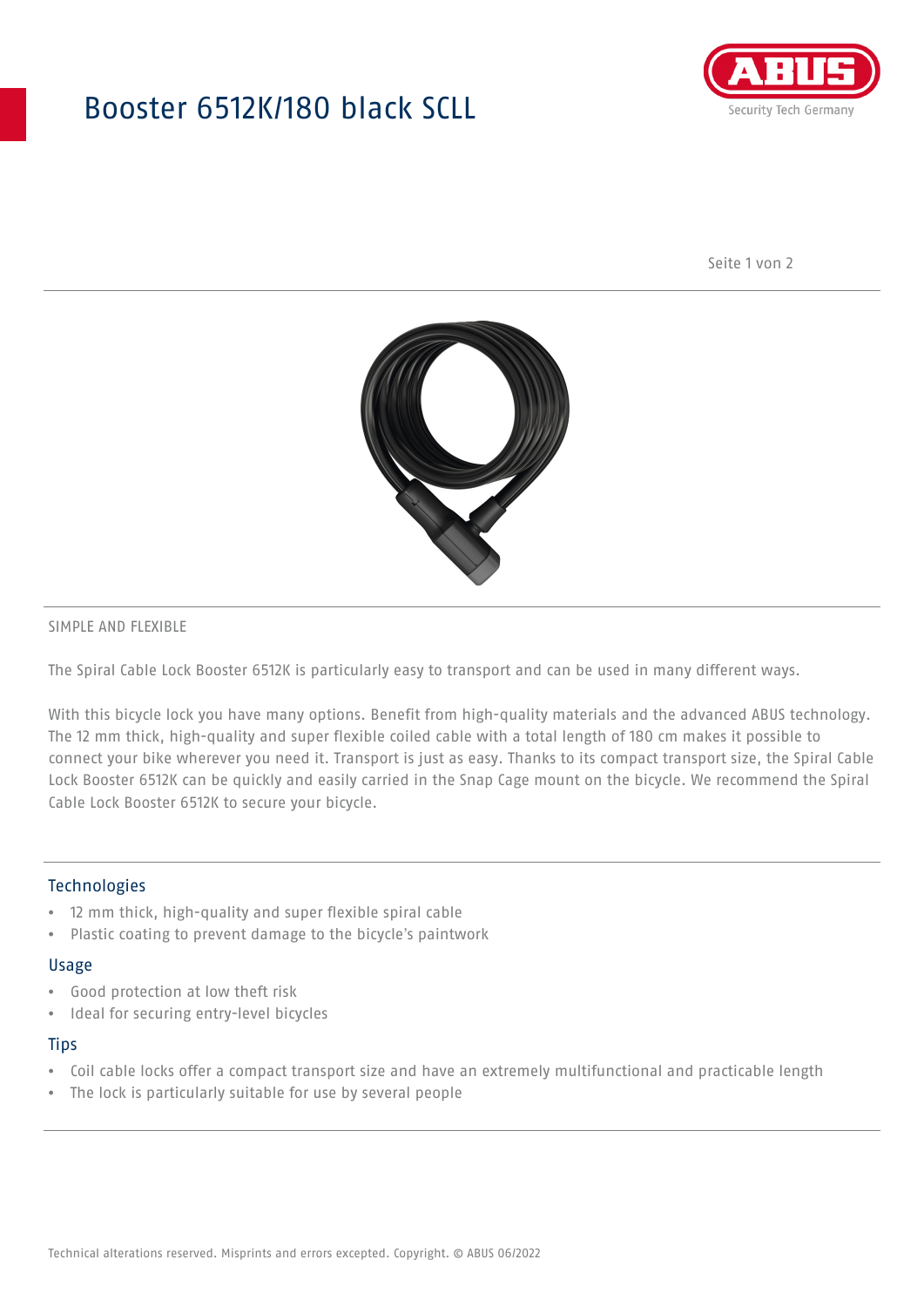## Booster 6512K/180 black SCLL



Seite 1 von 2



#### SIMPLE AND FLEXIBLE

The Spiral Cable Lock Booster 6512K is particularly easy to transport and can be used in many different ways.

With this bicycle lock you have many options. Benefit from high-quality materials and the advanced ABUS technology. The 12 mm thick, high-quality and super flexible coiled cable with a total length of 180 cm makes it possible to connect your bike wherever you need it. Transport is just as easy. Thanks to its compact transport size, the Spiral Cable Lock Booster 6512K can be quickly and easily carried in the Snap Cage mount on the bicycle. We recommend the Spiral Cable Lock Booster 6512K to secure your bicycle.

### Technologies

- 12 mm thick, high-quality and super flexible spiral cable
- Plastic coating to prevent damage to the bicycle's paintwork

#### Usage

- Good protection at low theft risk
- Ideal for securing entry-level bicycles

## **Tips**

- Coil cable locks offer a compact transport size and have an extremely multifunctional and practicable length
- The lock is particularly suitable for use by several people